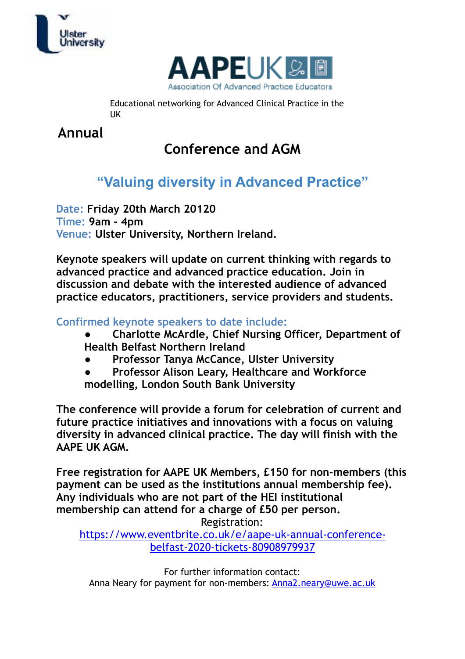



Educational networking for Advanced Clinical Practice in the UK

**Annual** 

# **Conference and AGM**

## **"Valuing diversity in Advanced Practice"**

**Date: Friday 20th March 20120 Time: 9am – 4pm Venue: Ulster University, Northern Ireland.** 

**Keynote speakers will update on current thinking with regards to advanced practice and advanced practice education. Join in discussion and debate with the interested audience of advanced practice educators, practitioners, service providers and students.** 

**Confirmed keynote speakers to date include:** 

- **● Charlotte McArdle, Chief Nursing Officer, Department of Health Belfast Northern Ireland**
- **● Professor Tanya McCance, Ulster University**
- **● Professor Alison Leary, Healthcare and Workforce modelling, London South Bank University**

**The conference will provide a forum for celebration of current and future practice initiatives and innovations with a focus on valuing diversity in advanced clinical practice. The day will finish with the AAPE UK AGM.** 

**Free registration for AAPE UK Members, £150 for non-members (this payment can be used as the institutions annual membership fee). Any individuals who are not part of the HEI institutional membership can attend for a charge of £50 per person.**  Registration:

[https://www.eventbrite.co.uk/e/aape-uk-annual-conference](https://www.eventbrite.co.uk/e/aape-uk-annual-conference-belfast-2020-tickets-80908979937)[belfast-2020-tickets-80908979937](https://www.eventbrite.co.uk/e/aape-uk-annual-conference-belfast-2020-tickets-80908979937)

For further information contact: Anna Neary for payment for non-members: [Anna2.neary@uwe.ac.uk](mailto:Anna2.neary@uwe.ac.uk)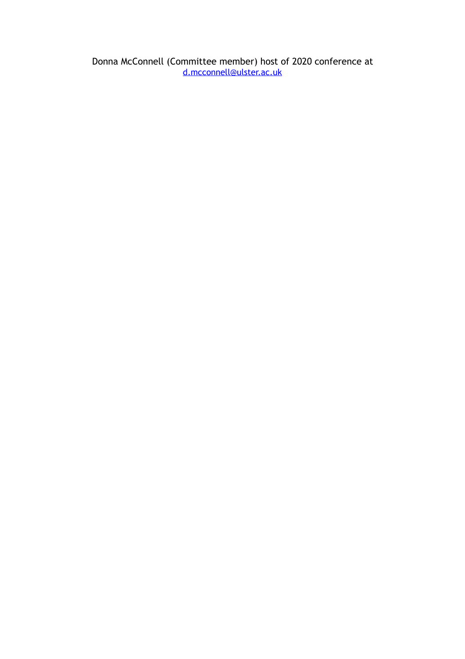Donna McConnell (Committee member) host of 2020 conference at [d.mcconnell@ulster.ac.uk](mailto:d.mcconnell@ulster.ac.uk)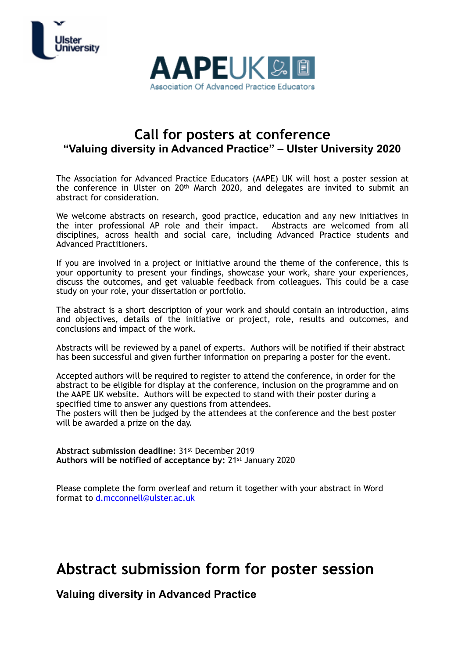



### **Call for posters at conference "Valuing diversity in Advanced Practice" – Ulster University 2020**

The Association for Advanced Practice Educators (AAPE) UK will host a poster session at the conference in Ulster on 20th March 2020, and delegates are invited to submit an abstract for consideration.

We welcome abstracts on research, good practice, education and any new initiatives in the inter professional AP role and their impact. Abstracts are welcomed from all disciplines, across health and social care, including Advanced Practice students and Advanced Practitioners.

If you are involved in a project or initiative around the theme of the conference, this is your opportunity to present your findings, showcase your work, share your experiences, discuss the outcomes, and get valuable feedback from colleagues. This could be a case study on your role, your dissertation or portfolio.

The abstract is a short description of your work and should contain an introduction, aims and objectives, details of the initiative or project, role, results and outcomes, and conclusions and impact of the work.

Abstracts will be reviewed by a panel of experts. Authors will be notified if their abstract has been successful and given further information on preparing a poster for the event.

Accepted authors will be required to register to attend the conference, in order for the abstract to be eligible for display at the conference, inclusion on the programme and on the AAPE UK website. Authors will be expected to stand with their poster during a specified time to answer any questions from attendees.

The posters will then be judged by the attendees at the conference and the best poster will be awarded a prize on the day.

**Abstract submission deadline:** 31st December 2019 **Authors will be notified of acceptance by:** 21st January 2020

Please complete the form overleaf and return it together with your abstract in Word format to [d.mcconnell@ulster.ac.uk](mailto:d.mcconnell@ulster.ac.uk)

## **Abstract submission form for poster session**

**Valuing diversity in Advanced Practice**